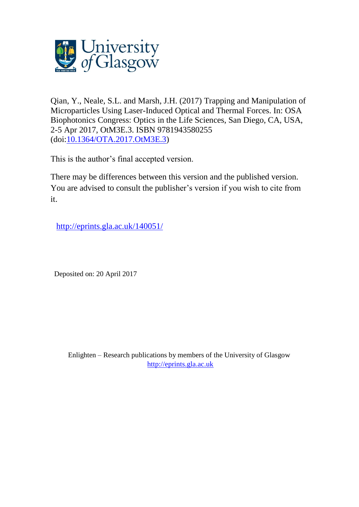

Qian, Y., Neale, S.L. and Marsh, J.H. (2017) Trapping and Manipulation of Microparticles Using Laser-Induced Optical and Thermal Forces. In: OSA Biophotonics Congress: Optics in the Life Sciences, San Diego, CA, USA, 2-5 Apr 2017, OtM3E.3. ISBN 9781943580255 (doi[:10.1364/OTA.2017.OtM3E.3\)](http://dx.doi.org/10.1364/OTA.2017.OtM3E.3)

This is the author's final accepted version.

There may be differences between this version and the published version. You are advised to consult the publisher's version if you wish to cite from it.

<http://eprints.gla.ac.uk/140051/>

Deposited on: 20 April 2017

Enlighten – Research publications by members of the University of Glasgow [http://eprints.gla.ac.uk](http://eprints.gla.ac.uk/)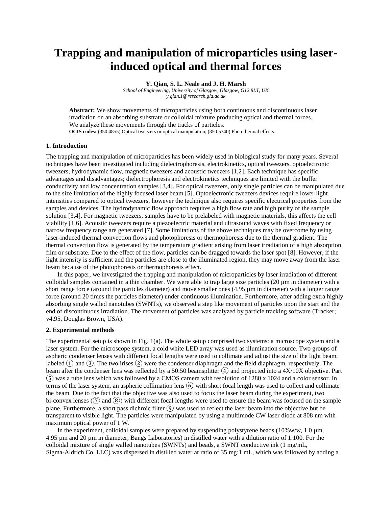# **Trapping and manipulation of microparticles using laserinduced optical and thermal forces**

**Y. Qian, S. L. Neale and J. H. Marsh**

*School of Engineering, University of Glasgow, Glasgow, G12 8LT, UK y.qian.1@research.gla.ac.uk*

**Abstract:** We show movements of microparticles using both continuous and discontinuous laser irradiation on an absorbing substrate or colloidal mixture producing optical and thermal forces. We analyze these movements through the tracks of particles. **OCIS codes:** (350.4855) Optical tweezers or optical manipulation; (350.5340) Photothermal effects.

### **1. Introduction**

The trapping and manipulation of microparticles has been widely used in biological study for many years. Several techniques have been investigated including dielectrophoresis, electrokinetics, optical tweezers, optoelectronic tweezers, hydrodynamic flow, magnetic tweezers and acoustic tweezers [1,2]. Each technique has specific advantages and disadvantages; dielectrophoresis and electrokinetics techniques are limited with the buffer conductivity and low concentration samples [3,4]. For optical tweezers, only single particles can be manipulated due to the size limitation of the highly focused laser beam [5]. Optoelectronic tweezers devices require lower light intensities compared to optical tweezers, however the technique also requires specific electrical properties from the samples and devices. The hydrodynamic flow approach requires a high flow rate and high purity of the sample solution [3,4]. For magnetic tweezers, samples have to be prelabeled with magnetic materials, this affects the cell viability [1,6]. Acoustic tweezers require a piezoelectric material and ultrasound waves with fixed frequency or narrow frequency range are generated [7]. Some limitations of the above techniques may be overcome by using laser-induced thermal convection flows and photophoresis or thermophoresis due to the thermal gradient. The thermal convection flow is generated by the temperature gradient arising from laser irradiation of a high absorption film or substrate. Due to the effect of the flow, particles can be dragged towards the laser spot [8]. However, if the light intensity is sufficient and the particles are close to the illuminated region, they may move away from the laser beam because of the photophoresis or thermophoresis effect.

In this paper, we investigated the trapping and manipulation of microparticles by laser irradiation of different colloidal samples contained in a thin chamber. We were able to trap large size particles (20 µm in diameter) with a short range force (around the particles diameter) and move smaller ones  $(4.95 \,\mu m)$  in diameter) with a longer range force (around 20 times the particles diameter) under continuous illumination. Furthermore, after adding extra highly absorbing single walled nanotubes (SWNTs), we observed a step like movement of particles upon the start and the end of discontinuous irradiation. The movement of particles was analyzed by particle tracking software (Tracker; v4.95, Douglas Brown, USA).

#### **2. Experimental methods**

The experimental setup is shown in Fig. 1(a). The whole setup comprised two systems: a microscope system and a laser system. For the microscope system, a cold white LED array was used as illumination source. Two groups of aspheric condenser lenses with different focal lengths were used to collimate and adjust the size of the light beam, labeled  $\overline{(1)}$  and  $\overline{(3)}$ . The two irises  $\overline{(2)}$  were the condenser diaphragm and the field diaphragm, respectively. The beam after the condenser lens was reflected by a 50:50 beamsplitter  $\overline{(4)}$  and projected into a 4X/10X objective. Part ⑤ was a tube lens which was followed by a CMOS camera with resolution of 1280 x 1024 and a color sensor. In terms of the laser system, an aspheric collimation lens ⑥ with short focal length was used to collect and collimate the beam. Due to the fact that the objective was also used to focus the laser beam during the experiment, two bi-convex lenses  $(\overline{7})$  and  $(\overline{8})$  with different focal lengths were used to ensure the beam was focused on the sample plane. Furthermore, a short pass dichroic filter ⑨ was used to reflect the laser beam into the objective but be transparent to visible light. The particles were manipulated by using a multimode CW laser diode at 808 nm with maximum optical power of 1 W.

In the experiment, colloidal samples were prepared by suspending polystyrene beads  $(10\% \text{w/w}, 1.0 \text{ µm})$ , 4.95 µm and 20 µm in diameter, Bangs Laboratories) in distilled water with a dilution ratio of 1:100. For the colloidal mixture of single walled nanotubes (SWNTs) and beads, a SWNT conductive ink (1 mg/mL, Sigma-Aldrich Co. LLC) was dispersed in distilled water at ratio of 35 mg:1 mL, which was followed by adding a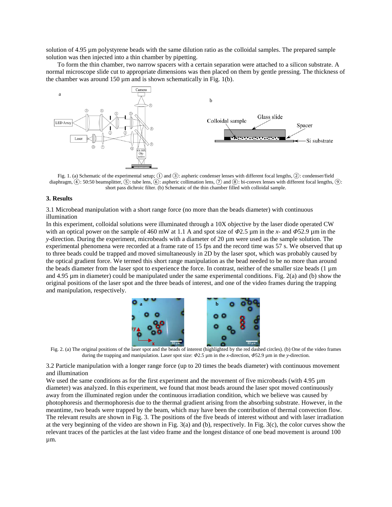solution of 4.95 µm polystyrene beads with the same dilution ratio as the colloidal samples. The prepared sample solution was then injected into a thin chamber by pipetting.

To form the thin chamber, two narrow spacers with a certain separation were attached to a silicon substrate. A normal microscope slide cut to appropriate dimensions was then placed on them by gentle pressing. The thickness of the chamber was around 150  $\mu$ m and is shown schematically in Fig. 1(b).



Fig. 1. (a) Schematic of the experimental setup; ① and ③: aspheric condenser lenses with different focal lengths, ②: condenser/field diaphragm,  $(4)$ : 50:50 beamsplitter,  $(5)$ : tube lens,  $(6)$ : aspheric collimation lens,  $(7)$  and  $(8)$ : bi-convex lenses with different focal lengths,  $(9)$ : short pass dichroic filter. (b) Schematic of the thin chamber filled with colloidal sample.

#### **3. Results**

3.1 Microbead manipulation with a short range force (no more than the beads diameter) with continuous illumination

In this experiment, colloidal solutions were illuminated through a 10X objective by the laser diode operated CW with an optical power on the sample of 460 mW at 1.1 A and spot size of *Φ*2.5 µm in the *x*- and *Φ*52.9 µm in the *y*-direction. During the experiment, microbeads with a diameter of 20 µm were used as the sample solution. The experimental phenomena were recorded at a frame rate of 15 fps and the record time was 57 s. We observed that up to three beads could be trapped and moved simultaneously in 2D by the laser spot, which was probably caused by the optical gradient force. We termed this short range manipulation as the bead needed to be no more than around the beads diameter from the laser spot to experience the force. In contrast, neither of the smaller size beads (1 µm and 4.95 µm in diameter) could be manipulated under the same experimental conditions. Fig. 2(a) and (b) show the original positions of the laser spot and the three beads of interest, and one of the video frames during the trapping and manipulation, respectively.



Fig. 2. (a) The original positions of the laser spot and the beads of interest (highlighted by the red dashed circles). (b) One of the video frames during the trapping and manipulation. Laser spot size: *Φ*2.5 µm in the *x*-direction, *Φ*52.9 µm in the *y*-direction.

3.2 Particle manipulation with a longer range force (up to 20 times the beads diameter) with continuous movement and illumination

We used the same conditions as for the first experiment and the movement of five microbeads (with 4.95 um diameter) was analyzed. In this experiment, we found that most beads around the laser spot moved continuously away from the illuminated region under the continuous irradiation condition, which we believe was caused by photophoresis and thermophoresis due to the thermal gradient arising from the absorbing substrate. However, in the meantime, two beads were trapped by the beam, which may have been the contribution of thermal convection flow. The relevant results are shown in Fig. 3. The positions of the five beads of interest without and with laser irradiation at the very beginning of the video are shown in Fig. 3(a) and (b), respectively. In Fig. 3(c), the color curves show the relevant traces of the particles at the last video frame and the longest distance of one bead movement is around 100 µm.